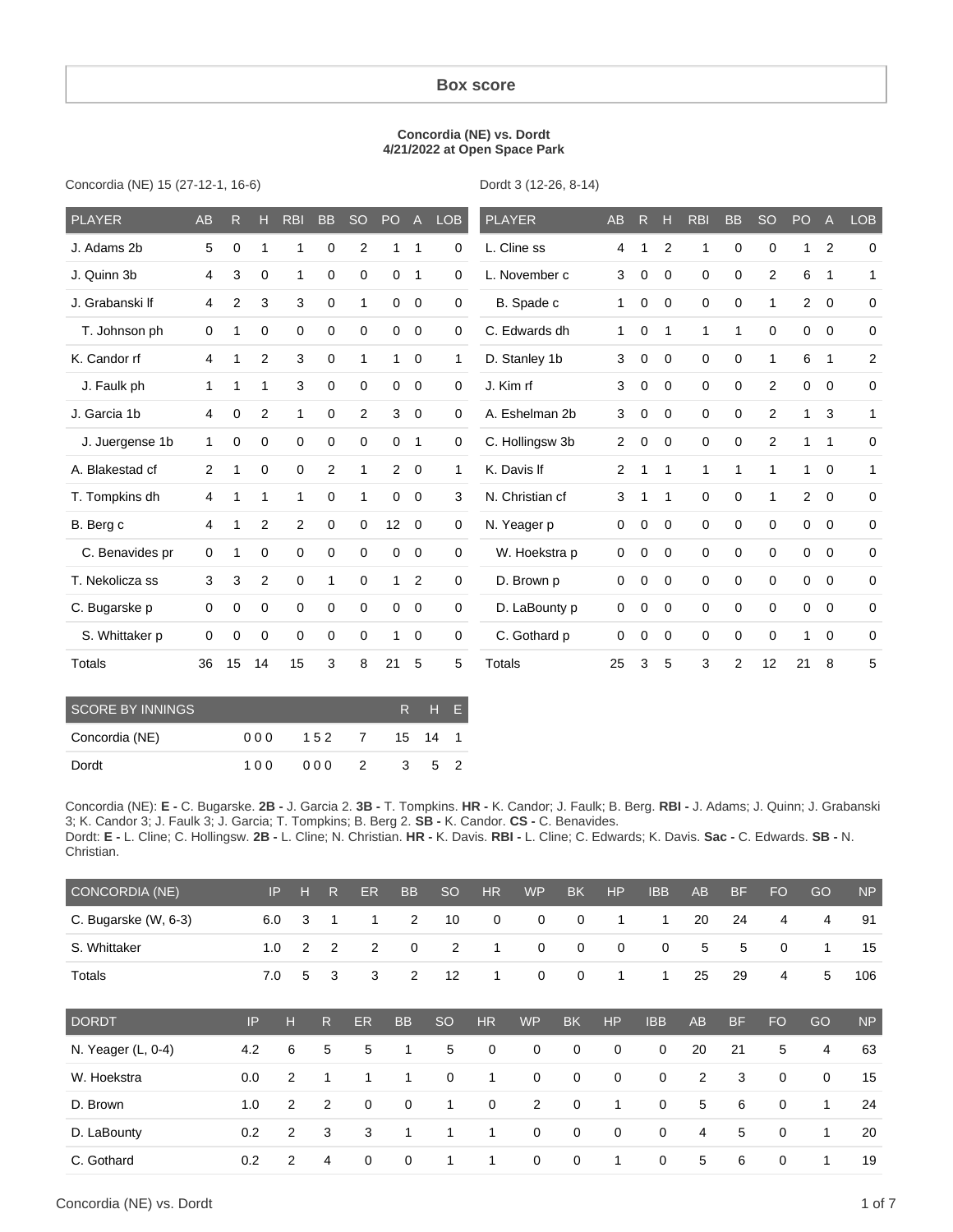### **Box score**

#### **Concordia (NE) vs. Dordt 4/21/2022 at Open Space Park**

Concordia (NE) 15 (27-12-1, 16-6)

Dordt 3 (12-26, 8-14)

| <b>PLAYER</b>   | <b>AB</b>    | R           | н              | <b>RBI</b>     | <b>BB</b>    | <b>SO</b>      | PO <sub>1</sub> | A              | <b>LOB</b>   | <b>PLAYER</b>   | AB             | $\mathsf{R}$ | н           | <b>RBI</b>  | <b>BB</b>      | <b>SO</b>   | PO             | A            | <b>LOB</b>     |
|-----------------|--------------|-------------|----------------|----------------|--------------|----------------|-----------------|----------------|--------------|-----------------|----------------|--------------|-------------|-------------|----------------|-------------|----------------|--------------|----------------|
| J. Adams 2b     | 5            | $\Omega$    | 1              | 1              | 0            | $\overline{2}$ | 1               | 1              | 0            | L. Cline ss     | 4              | 1            | 2           | 1           | 0              | 0           | 1              | 2            | $\mathbf 0$    |
| J. Quinn 3b     | 4            | 3           | $\mathbf 0$    | 1              | $\mathbf 0$  | $\mathbf 0$    | $\mathbf 0$     | 1              | 0            | L. November c   | 3              | $\mathbf 0$  | 0           | $\mathbf 0$ | 0              | 2           | 6              | 1            | 1              |
| J. Grabanski If | 4            | 2           | 3              | 3              | $\mathbf 0$  | 1              | 0               | 0              | 0            | B. Spade c      | 1              | 0            | $\Omega$    | $\mathbf 0$ | $\mathbf 0$    |             | $\overline{2}$ | $\mathbf 0$  | $\mathbf 0$    |
| T. Johnson ph   | $\mathbf 0$  | 1           | 0              | 0              | $\mathbf 0$  | $\mathbf 0$    | 0               | $\mathbf 0$    | 0            | C. Edwards dh   | 1              | 0            | 1           | 1           | 1              | $\Omega$    | 0              | 0            | $\mathbf 0$    |
| K. Candor rf    | 4            | 1           | 2              | 3              | $\mathbf 0$  | $\mathbf{1}$   | 1               | $\mathbf 0$    | 1            | D. Stanley 1b   | 3              | 0            | $\Omega$    | $\mathbf 0$ | $\mathbf 0$    |             | 6              | 1            | $\overline{2}$ |
| J. Faulk ph     | $\mathbf{1}$ | 1           | $\mathbf{1}$   | 3              | 0            | $\mathbf 0$    | 0               | $\mathbf 0$    | 0            | J. Kim rf       | 3              | 0            | 0           | $\mathbf 0$ | $\mathbf 0$    | 2           | 0              | $\mathbf 0$  | 0              |
| J. Garcia 1b    | 4            | $\mathbf 0$ | $\overline{c}$ | 1              | $\mathbf 0$  | $\overline{2}$ | 3               | $\mathbf 0$    | 0            | A. Eshelman 2b  | 3              | 0            | $\mathbf 0$ | $\mathbf 0$ | $\mathbf 0$    | 2           | 1              | 3            | $\mathbf{1}$   |
| J. Juergense 1b | $\mathbf{1}$ | 0           | $\mathbf 0$    | $\mathbf 0$    | 0            | $\mathbf 0$    | 0               | $\mathbf 1$    | 0            | C. Hollingsw 3b | $\overline{2}$ | 0            | $\mathbf 0$ | $\mathbf 0$ | $\mathbf 0$    | 2           | $\mathbf 1$    | $\mathbf{1}$ | $\pmb{0}$      |
| A. Blakestad cf | 2            | 1           | $\mathbf 0$    | $\mathbf 0$    | 2            | 1              |                 | $2 \quad 0$    | $\mathbf{1}$ | K. Davis If     | 2              | 1            | 1           | 1           | 1              |             | $\mathbf{1}$   | $\mathbf 0$  | $\mathbf{1}$   |
| T. Tompkins dh  | 4            | 1           | 1              | 1              | $\mathbf 0$  | 1              | $\mathbf 0$     | $\mathbf 0$    | 3            | N. Christian cf | 3              | 1            | 1           | $\mathbf 0$ | $\mathbf 0$    |             | $\overline{2}$ | $\mathbf 0$  | $\mathbf 0$    |
| B. Berg c       | 4            | 1           | $\overline{2}$ | $\overline{2}$ | $\mathbf 0$  | 0              | 12              | $\mathbf 0$    | 0            | N. Yeager p     | 0              | $\mathbf 0$  | $\Omega$    | $\Omega$    | $\mathbf 0$    | $\Omega$    | $\mathbf 0$    | $\mathbf 0$  | $\pmb{0}$      |
| C. Benavides pr | $\Omega$     | 1           | $\Omega$       | $\Omega$       | $\Omega$     | $\mathbf 0$    | $\Omega$        | $\mathbf 0$    | 0            | W. Hoekstra p   | 0              | $\mathbf 0$  | $\Omega$    | $\Omega$    | $\Omega$       | $\Omega$    | 0              | $\Omega$     | 0              |
| T. Nekolicza ss | 3            | 3           | 2              | $\mathbf 0$    | $\mathbf{1}$ | $\mathbf 0$    | $\mathbf{1}$    | $\overline{2}$ | 0            | D. Brown p      | 0              | 0            | 0           | $\mathbf 0$ | $\mathbf 0$    | $\mathbf 0$ | 0              | $\mathbf 0$  | 0              |
| C. Bugarske p   | $\mathbf 0$  | 0           | 0              | $\mathbf 0$    | $\mathbf 0$  | $\mathbf 0$    | $\mathbf 0$     | $\mathbf 0$    | 0            | D. LaBounty p   | 0              | 0            | 0           | $\mathbf 0$ | $\mathbf 0$    | $\mathbf 0$ | 0              | $\mathbf 0$  | $\mathbf 0$    |
| S. Whittaker p  | $\Omega$     | $\mathbf 0$ | $\mathbf 0$    | 0              | 0            | 0              | 1               | $\mathbf 0$    | 0            | C. Gothard p    | 0              | 0            | $\mathbf 0$ | $\mathbf 0$ | $\mathbf 0$    | $\Omega$    | 1              | $\mathbf 0$  | 0              |
| Totals          | 36           | 15          | 14             | 15             | 3            | 8              | 21              | 5              | 5            | Totals          | 25             | 3            | 5           | 3           | $\overline{2}$ | 12          | 21             | 8            | 5              |

| SCORE BY INNINGS<br>RHF. |     |               |                |                         |  |    |  |  |  |  |
|--------------------------|-----|---------------|----------------|-------------------------|--|----|--|--|--|--|
| Concordia (NE)           | 000 | 152 7 15 14 1 |                |                         |  |    |  |  |  |  |
| Dordt                    | 100 | 000           | $\overline{2}$ | $\overline{\mathbf{3}}$ |  | 52 |  |  |  |  |

Concordia (NE): **E -** C. Bugarske. **2B -** J. Garcia 2. **3B -** T. Tompkins. **HR -** K. Candor; J. Faulk; B. Berg. **RBI -** J. Adams; J. Quinn; J. Grabanski 3; K. Candor 3; J. Faulk 3; J. Garcia; T. Tompkins; B. Berg 2. **SB -** K. Candor. **CS -** C. Benavides. Dordt: **E -** L. Cline; C. Hollingsw. **2B -** L. Cline; N. Christian. **HR -** K. Davis. **RBI -** L. Cline; C. Edwards; K. Davis. **Sac -** C. Edwards. **SB -** N. Christian.

| CONCORDIA (NE)       |     | IP<br>н        | $\mathsf{R}$   | ER          | <b>BB</b>      | <sub>SO</sub>  | <b>HR</b> | <b>WP</b>      | <b>BK</b>   | <b>HP</b>   | <b>IBB</b>  | <b>AB</b>      | <b>BF</b> | <b>FO</b>   | GO             | <b>NP</b> |
|----------------------|-----|----------------|----------------|-------------|----------------|----------------|-----------|----------------|-------------|-------------|-------------|----------------|-----------|-------------|----------------|-----------|
| C. Bugarske (W, 6-3) | 6.0 | 3              | 1              | ٠           | $\overline{2}$ | 10             | 0         | $\mathbf 0$    | $\mathbf 0$ | 1           | 1           | 20             | 24        | 4           | $\overline{4}$ | 91        |
| S. Whittaker         | 1.0 | $\overline{2}$ | $\overline{2}$ | 2           | 0              | $\overline{2}$ | 1         | 0              | 0           | $\mathbf 0$ | 0           | 5              | 5         | $\mathbf 0$ | 1              | 15        |
| Totals               | 7.0 | 5              | 3              | 3           | 2              | 12             | 1         | 0              | $\mathbf 0$ | 1           | 1           | 25             | 29        | 4           | 5              | 106       |
| <b>DORDT</b>         | IP  | н              | $\mathsf{R}$   | <b>ER</b>   | <b>BB</b>      | <sub>SO</sub>  | HR        | <b>WP</b>      | <b>BK</b>   | HP          | <b>IBB</b>  | <b>AB</b>      | <b>BF</b> | <b>FO</b>   | GO             | <b>NP</b> |
| N. Yeager (L, 0-4)   | 4.2 | 6              | 5              | 5           | 1              | 5              | 0         | $\mathbf 0$    | $\mathbf 0$ | $\mathbf 0$ | 0           | 20             | 21        | 5           | 4              | 63        |
| W. Hoekstra          | 0.0 | 2              | 1              | 1           | 1              | $\mathbf 0$    | 1         | $\mathbf 0$    | $\mathbf 0$ | $\mathbf 0$ | $\mathbf 0$ | 2              | 3         | $\mathbf 0$ | $\mathbf 0$    | 15        |
| D. Brown             | 1.0 | 2              | 2              | $\mathbf 0$ | $\mathbf 0$    | 1              | 0         | $\overline{2}$ | $\mathbf 0$ | 1           | $\mathbf 0$ | 5              | 6         | $\mathbf 0$ | 1              | 24        |
| D. LaBounty          | 0.2 | 2              | 3              | 3           | 1              | 1              | 1         | $\mathbf 0$    | $\mathbf 0$ | $\mathbf 0$ | $\mathbf 0$ | $\overline{4}$ | 5         | $\mathbf 0$ | $\mathbf{1}$   | 20        |
| C. Gothard           | 0.2 | 2              | 4              | $\mathbf 0$ | $\mathbf 0$    | 1              | 1         | 0              | 0           | 1           | $\mathbf 0$ | 5              | 6         | $\mathbf 0$ | 1              | 19        |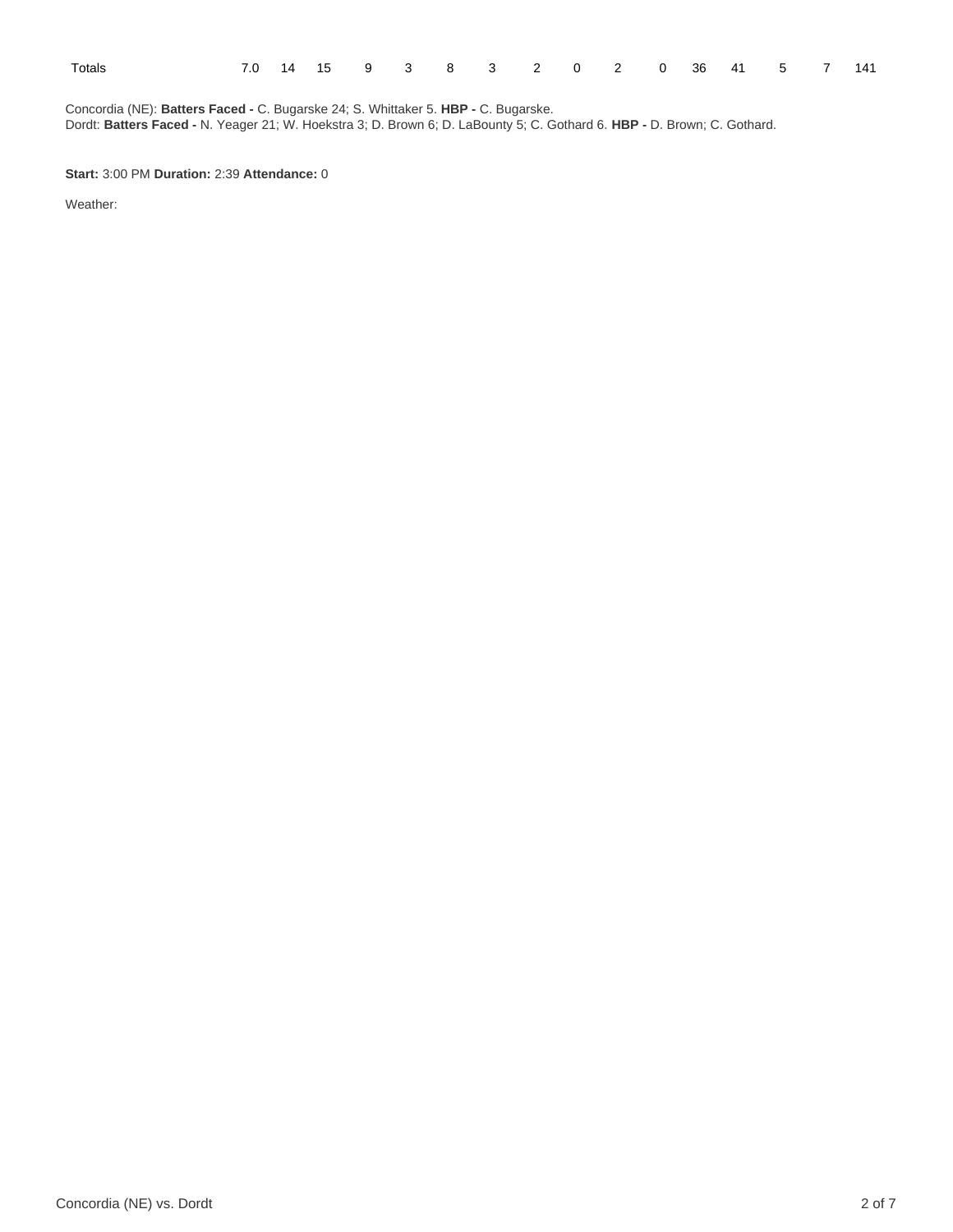| Totals |  | 7.0 14 15 9 3 8 3 2 0 2 0 36 41 5 7 141 |  |  |  |  |  |  |  |
|--------|--|-----------------------------------------|--|--|--|--|--|--|--|
|        |  |                                         |  |  |  |  |  |  |  |

Concordia (NE): **Batters Faced -** C. Bugarske 24; S. Whittaker 5. **HBP -** C. Bugarske. Dordt: **Batters Faced -** N. Yeager 21; W. Hoekstra 3; D. Brown 6; D. LaBounty 5; C. Gothard 6. **HBP -** D. Brown; C. Gothard.

**Start:** 3:00 PM **Duration:** 2:39 **Attendance:** 0

Weather: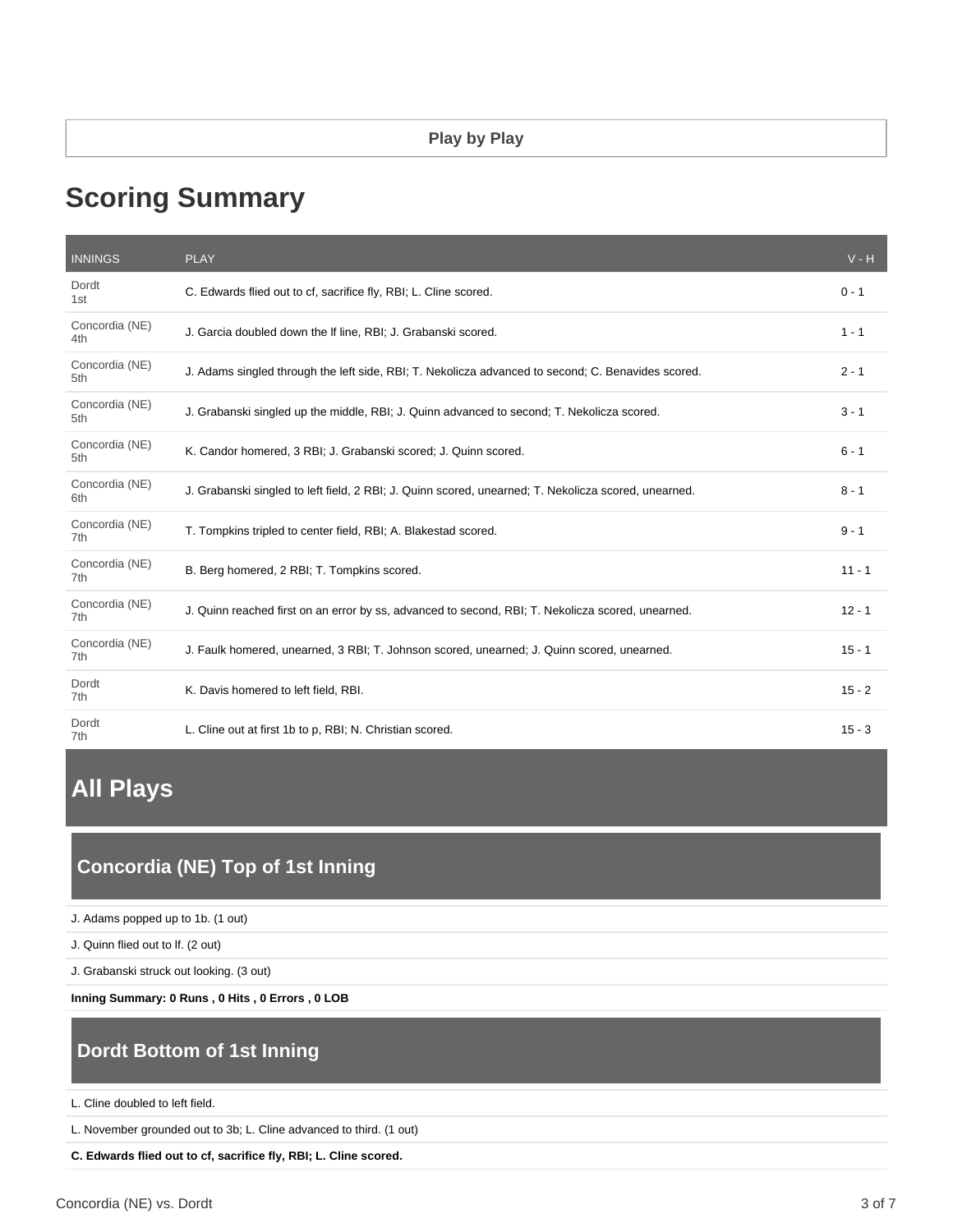# **Scoring Summary**

| <b>INNINGS</b>        | <b>PLAY</b>                                                                                          | $V - H$  |
|-----------------------|------------------------------------------------------------------------------------------------------|----------|
| Dordt<br>1st          | C. Edwards flied out to cf, sacrifice fly, RBI; L. Cline scored.                                     | $0 - 1$  |
| Concordia (NE)<br>4th | J. Garcia doubled down the If line, RBI; J. Grabanski scored.                                        | $1 - 1$  |
| Concordia (NE)<br>5th | J. Adams singled through the left side, RBI; T. Nekolicza advanced to second; C. Benavides scored.   | $2 - 1$  |
| Concordia (NE)<br>5th | J. Grabanski singled up the middle, RBI; J. Quinn advanced to second; T. Nekolicza scored.           | $3 - 1$  |
| Concordia (NE)<br>5th | K. Candor homered, 3 RBI; J. Grabanski scored; J. Quinn scored.                                      | $6 - 1$  |
| Concordia (NE)<br>6th | J. Grabanski singled to left field, 2 RBI; J. Quinn scored, unearned; T. Nekolicza scored, unearned. | $8 - 1$  |
| Concordia (NE)<br>7th | T. Tompkins tripled to center field, RBI; A. Blakestad scored.                                       | $9 - 1$  |
| Concordia (NE)<br>7th | B. Berg homered, 2 RBI; T. Tompkins scored.                                                          | $11 - 1$ |
| Concordia (NE)<br>7th | J. Quinn reached first on an error by ss, advanced to second, RBI; T. Nekolicza scored, unearned.    | $12 - 1$ |
| Concordia (NE)<br>7th | J. Faulk homered, unearned, 3 RBI; T. Johnson scored, unearned; J. Quinn scored, unearned.           | $15 - 1$ |
| Dordt<br>7th          | K. Davis homered to left field, RBI.                                                                 | $15 - 2$ |
| Dordt<br>7th          | L. Cline out at first 1b to p, RBI; N. Christian scored.                                             | $15 - 3$ |

# **All Plays**

# **Concordia (NE) Top of 1st Inning**

J. Adams popped up to 1b. (1 out)

J. Quinn flied out to lf. (2 out)

J. Grabanski struck out looking. (3 out)

**Inning Summary: 0 Runs , 0 Hits , 0 Errors , 0 LOB**

# **Dordt Bottom of 1st Inning**

L. Cline doubled to left field.

L. November grounded out to 3b; L. Cline advanced to third. (1 out)

**C. Edwards flied out to cf, sacrifice fly, RBI; L. Cline scored.**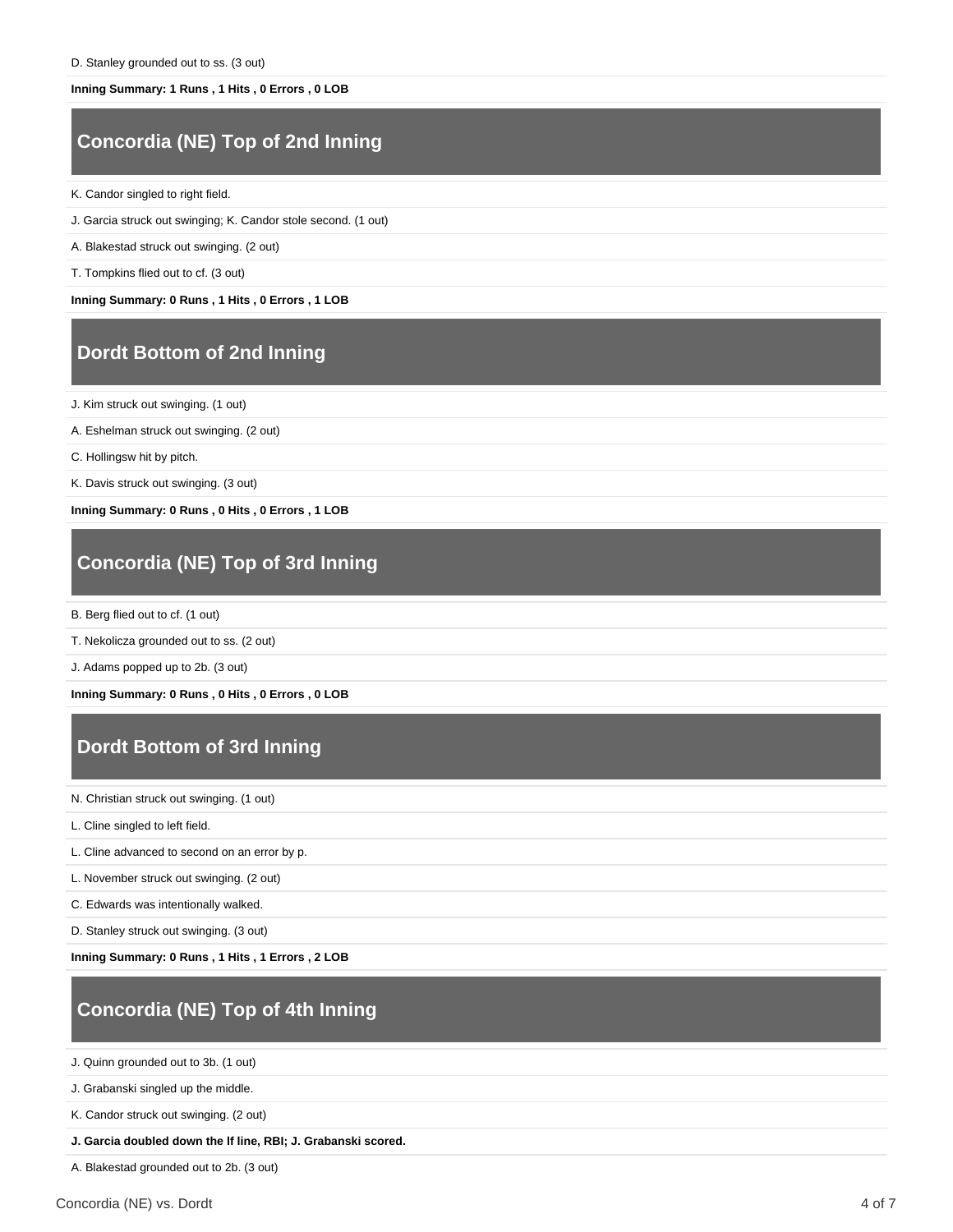#### **Inning Summary: 1 Runs , 1 Hits , 0 Errors , 0 LOB**

# **Concordia (NE) Top of 2nd Inning**

K. Candor singled to right field.

- J. Garcia struck out swinging; K. Candor stole second. (1 out)
- A. Blakestad struck out swinging. (2 out)
- T. Tompkins flied out to cf. (3 out)

**Inning Summary: 0 Runs , 1 Hits , 0 Errors , 1 LOB**

## **Dordt Bottom of 2nd Inning**

J. Kim struck out swinging. (1 out)

A. Eshelman struck out swinging. (2 out)

C. Hollingsw hit by pitch.

K. Davis struck out swinging. (3 out)

**Inning Summary: 0 Runs , 0 Hits , 0 Errors , 1 LOB**

## **Concordia (NE) Top of 3rd Inning**

B. Berg flied out to cf. (1 out)

T. Nekolicza grounded out to ss. (2 out)

J. Adams popped up to 2b. (3 out)

**Inning Summary: 0 Runs , 0 Hits , 0 Errors , 0 LOB**

# **Dordt Bottom of 3rd Inning**

N. Christian struck out swinging. (1 out)

L. Cline singled to left field.

L. Cline advanced to second on an error by p.

L. November struck out swinging. (2 out)

C. Edwards was intentionally walked.

D. Stanley struck out swinging. (3 out)

**Inning Summary: 0 Runs , 1 Hits , 1 Errors , 2 LOB**

# **Concordia (NE) Top of 4th Inning**

J. Quinn grounded out to 3b. (1 out)

J. Grabanski singled up the middle.

K. Candor struck out swinging. (2 out)

**J. Garcia doubled down the lf line, RBI; J. Grabanski scored.**

A. Blakestad grounded out to 2b. (3 out)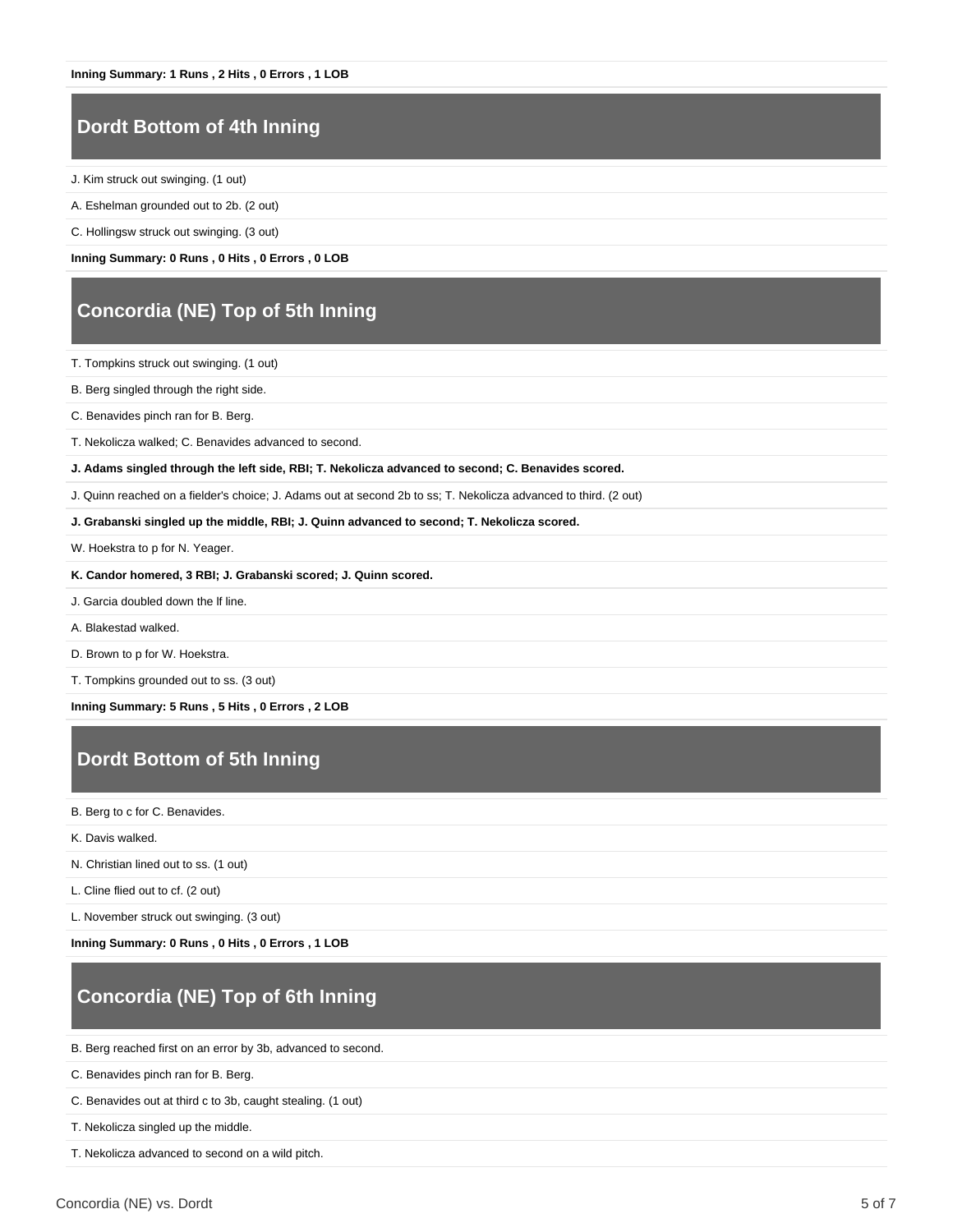### **Dordt Bottom of 4th Inning**

- J. Kim struck out swinging. (1 out)
- A. Eshelman grounded out to 2b. (2 out)
- C. Hollingsw struck out swinging. (3 out)
- **Inning Summary: 0 Runs , 0 Hits , 0 Errors , 0 LOB**

### **Concordia (NE) Top of 5th Inning**

- T. Tompkins struck out swinging. (1 out)
- B. Berg singled through the right side.
- C. Benavides pinch ran for B. Berg.
- T. Nekolicza walked; C. Benavides advanced to second.
- **J. Adams singled through the left side, RBI; T. Nekolicza advanced to second; C. Benavides scored.**
- J. Quinn reached on a fielder's choice; J. Adams out at second 2b to ss; T. Nekolicza advanced to third. (2 out)
- **J. Grabanski singled up the middle, RBI; J. Quinn advanced to second; T. Nekolicza scored.**
- W. Hoekstra to p for N. Yeager.
- **K. Candor homered, 3 RBI; J. Grabanski scored; J. Quinn scored.**
- J. Garcia doubled down the lf line.
- A. Blakestad walked.
- D. Brown to p for W. Hoekstra.
- T. Tompkins grounded out to ss. (3 out)

**Inning Summary: 5 Runs , 5 Hits , 0 Errors , 2 LOB**

# **Dordt Bottom of 5th Inning**

- B. Berg to c for C. Benavides.
- K. Davis walked.
- N. Christian lined out to ss. (1 out)
- L. Cline flied out to cf. (2 out)
- L. November struck out swinging. (3 out)
- **Inning Summary: 0 Runs , 0 Hits , 0 Errors , 1 LOB**

# **Concordia (NE) Top of 6th Inning**

- B. Berg reached first on an error by 3b, advanced to second.
- C. Benavides pinch ran for B. Berg.
- C. Benavides out at third c to 3b, caught stealing. (1 out)
- T. Nekolicza singled up the middle.
- T. Nekolicza advanced to second on a wild pitch.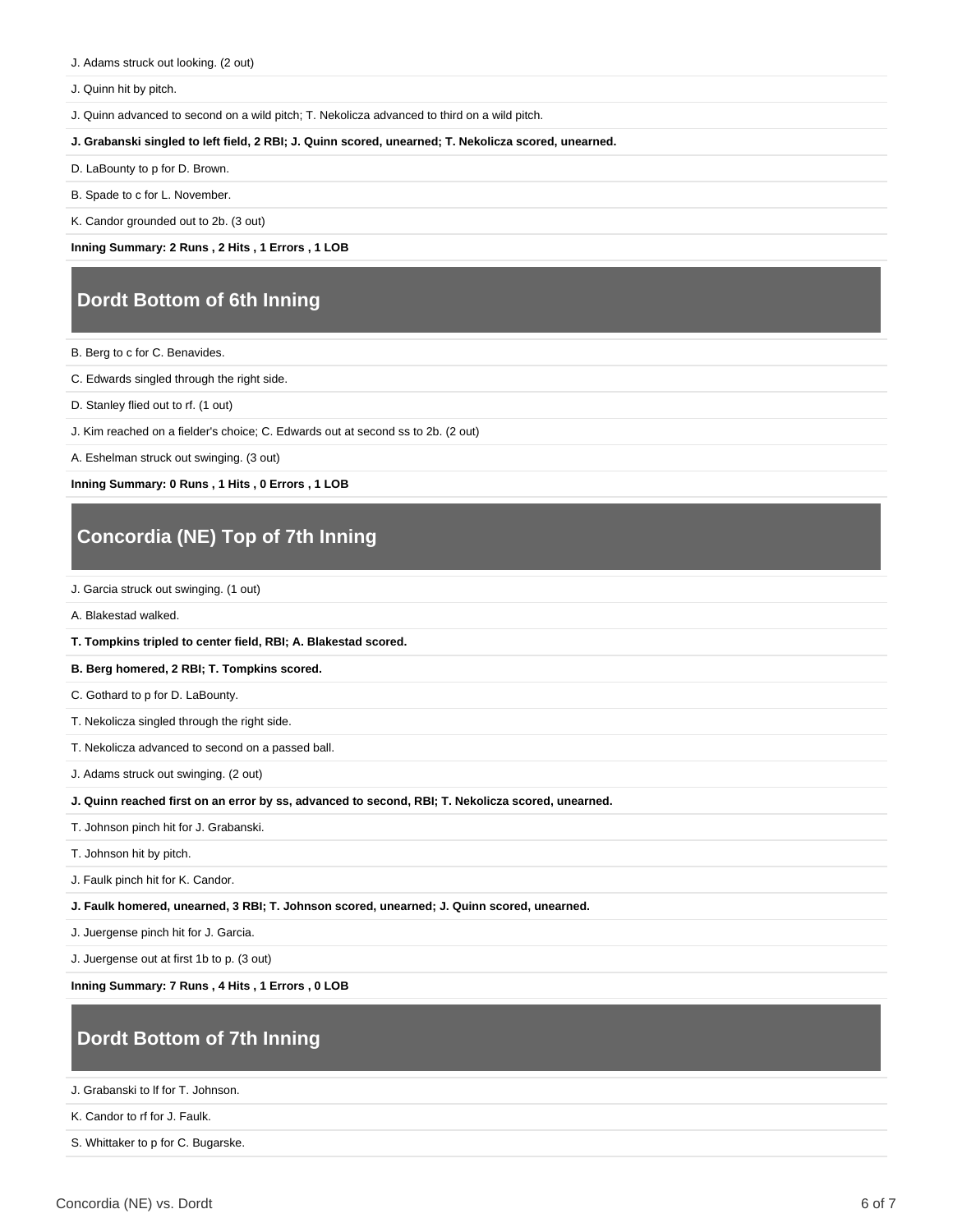J. Adams struck out looking. (2 out)

J. Quinn hit by pitch.

J. Quinn advanced to second on a wild pitch; T. Nekolicza advanced to third on a wild pitch.

**J. Grabanski singled to left field, 2 RBI; J. Quinn scored, unearned; T. Nekolicza scored, unearned.**

D. LaBounty to p for D. Brown.

B. Spade to c for L. November.

K. Candor grounded out to 2b. (3 out)

**Inning Summary: 2 Runs , 2 Hits , 1 Errors , 1 LOB**

## **Dordt Bottom of 6th Inning**

- B. Berg to c for C. Benavides.
- C. Edwards singled through the right side.
- D. Stanley flied out to rf. (1 out)
- J. Kim reached on a fielder's choice; C. Edwards out at second ss to 2b. (2 out)
- A. Eshelman struck out swinging. (3 out)

**Inning Summary: 0 Runs , 1 Hits , 0 Errors , 1 LOB**

# **Concordia (NE) Top of 7th Inning**

J. Garcia struck out swinging. (1 out)

A. Blakestad walked.

**T. Tompkins tripled to center field, RBI; A. Blakestad scored.**

#### **B. Berg homered, 2 RBI; T. Tompkins scored.**

C. Gothard to p for D. LaBounty.

- T. Nekolicza singled through the right side.
- T. Nekolicza advanced to second on a passed ball.
- J. Adams struck out swinging. (2 out)

**J. Quinn reached first on an error by ss, advanced to second, RBI; T. Nekolicza scored, unearned.**

- T. Johnson pinch hit for J. Grabanski.
- T. Johnson hit by pitch.

J. Faulk pinch hit for K. Candor.

**J. Faulk homered, unearned, 3 RBI; T. Johnson scored, unearned; J. Quinn scored, unearned.**

J. Juergense pinch hit for J. Garcia.

J. Juergense out at first 1b to p. (3 out)

**Inning Summary: 7 Runs , 4 Hits , 1 Errors , 0 LOB**

# **Dordt Bottom of 7th Inning**

J. Grabanski to lf for T. Johnson.

K. Candor to rf for J. Faulk.

S. Whittaker to p for C. Bugarske.